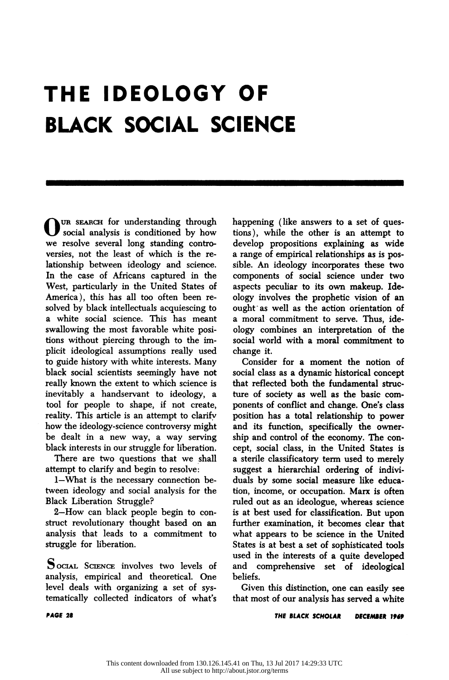## THE IDEOLOGY OF BLACK SOCIAL SCIENCE

UR SEARCH for understanding through hap social analysis is conditioned by how we resolve several long standing contro versies, not the least of which is the re lationship between ideology and science. In the case of Africans captured in the West, particularly in the United States of America), this has all too often been re solved by black intellectuals acquiescing to a white social science. This has meant swallowing the most favorable white posi tions without piercing through to the im plicit ideological assumptions really used to guide history with white interests. Many black social scientists seemingly have not really known the extent to which science is inevitably a handservant to ideology, a tool for people to shape, if not create, reality. This article is an attempt to clarify how the ideology-science controversy might be dealt in a new way, a way serving black interests in our struggle for liberation.

 There are two questions that we shall attempt to clarify and begin to resolve:

 1- What is the necessary connection be tween ideology and social analysis for the Black Liberation Struggle?

 2- How can black people begin to con struct revolutionary thought based on an analysis that leads to a commitment to struggle for liberation.

SOCIAL SCIENCE involves two levels of analysis, empirical and theoretical. One level deals with organizing a set of sys tematically collected indicators of what's  happening (like answers to a set of ques tions), while the other is an attempt to develop propositions explaining as wide a range of empirical relationships as is pos sible. An ideology incorporates these two components of social science under two aspects peculiar to its own makeup. Ide ology involves the prophetic vision of an ought as well as the action orientation of a moral commitment to serve. Thus, ide ology combines an interpretation of the social world with a moral commitment to change it.

 Consider for a moment the notion of social class as a dynamic historical concept that reflected both the fundamental struc ture of society as well as the basic com ponents of conflict and change. One's class position has a total relationship to power and its function, specifically the owner ship and control of the economy. The con cept, social class, in the United States is a sterile classificatory term used to merely suggest a hierarchial ordering of indivi duals by some social measure like educa tion, income, or occupation. Marx is often ruled out as an ideologue, whereas science is at best used for classification. But upon further examination, it becomes clear that what appears to be science in the United States is at best a set of sophisticated tools used in the interests of a quite developed and comprehensive set of ideological beliefs.

 Given this distinction, one can easily see that most of our analysis has served a white

PAGE 2Ь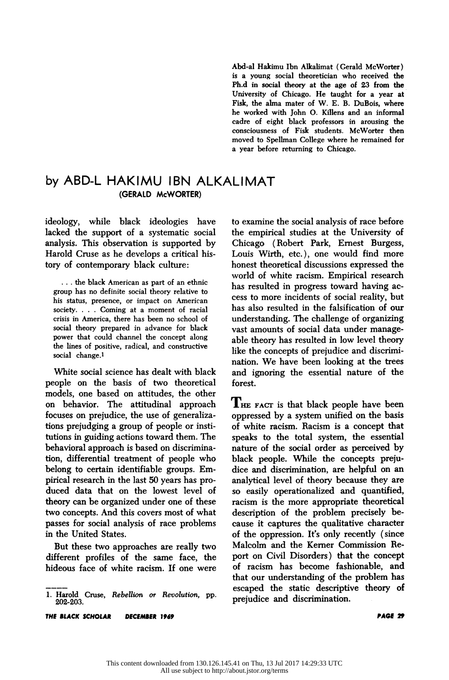Abd-al Hakimu Ibn Alkalimat (Gerald McWorter) is a young social theoretician who received the Ph.d in social theory at the age of 23 from the University of Chicago. He taught for a year at Fisk, the alma mater of W. E. B. DuBois, where he worked with John O. Killens and an informal cadre of eight black professors in arousing the consciousness of Fisk students. McWorter then moved to Spellman College where he remained for a year before returning to Chicago.

## by ABD-L HAKIMU IBN ALKALIMAT (GERALD McWORTER)

 ideology, while black ideologies have lacked the support of a systematic social analysis. This observation is supported by Harold Cruse as he develops a critical his tory of contemporary black culture:

 ... the black American as part of an ethnic group has no definite social theory relative to his status, presence, or impact on American society. . . . Coming at a moment of racial crisis in America, there has been no school of social theory prepared in advance for black power that could channel the concept along the lines of positive, radical, and constructive social change.1

 White social science has dealt with black people on the basis of two theoretical models, one based on attitudes, the other on behavior. The attitudinal approach focuses on prejudice, the use of generaliza tions prejudging a group of people or insti tutions in guiding actions toward them. The behavioral approach is based on discrimina tion, differential treatment of people who belong to certain identifiable groups. Em pirical research in the last 50 years has pro duced data that on the lowest level of theory can be organized under one of these two concepts. And this covers most of what passes for social analysis of race problems in the United States.

 But these two approaches are really two different profiles of the same face, the hideous face of white racism. If one were

 to examine the social analysis of race before the empirical studies at the University of Chicago (Robert Park, Ernest Burgess, Louis Wirth, etc.), one would find more honest theoretical discussions expressed the world of white racism. Empirical research has resulted in progress toward having ac cess to more incidents of social reality, but has also resulted in the falsification of our understanding. The challenge of organizing vast amounts of social data under manage able theory has resulted in low level theory like the concepts of prejudice and discrimi nation. We have been looking at the trees and ignoring the essential nature of the forest.

THE FACT is that black people have been oppressed by a system unified on the basis of white racism. Racism is a concept that speaks to the total system, the essential nature of the social order as perceived by black people. While the concepts preju dice and discrimination, are helpful on an analytical level of theory because they are so easily operationalized and quantified, racism is the more appropriate theoretical description of the problem precisely be cause it captures the qualitative character of the oppression. It's only recently (since Malcolm and the Kerner Commission Re port on Civil Disorders) that the concept of racism has become fashionable, and that our understanding of the problem has escaped the static descriptive theory of prejudice and discrimination.

 <sup>1.</sup> Harold Cruse, Rebellion or Revolution, pp. 202-203.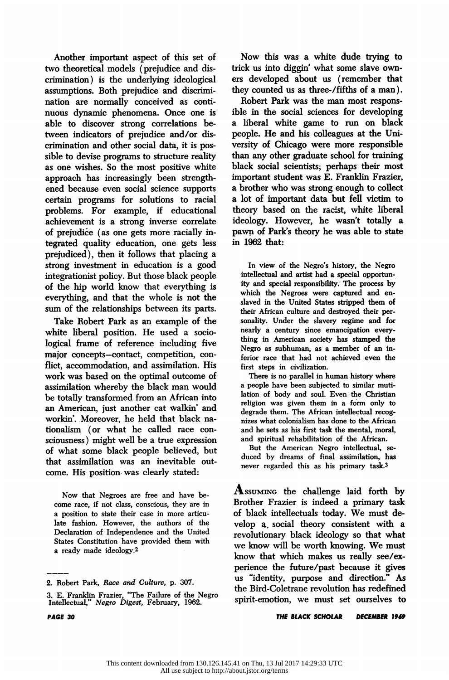Another important aspect of this set of two theoretical models (prejudice and dis crimination) is the underlying ideological assumptions. Both prejudice and discrimi nation are normally conceived as conti nuous dynamic phenomena. Once one is able to discover strong correlations be tween indicators of prejudice and/or dis crimination and other social data, it is pos sible to devise programs to structure reality as one wishes. So the most positive white approach has increasingly been strength ened because even social science supports certain programs for solutions to racial problems. For example, if educational achievement is a strong inverse correlate of prejudice (as one gets more racially in tegrated quality education, one gets less prejudiced), then it follows that placing a strong investment in education is a good integrationist policy. But those black people of the hip world know that everything is everything, and that the whole is not the sum of the relationships between its parts.

 Take Robert Park as an example of the white liberal position. He used a socio logical frame of reference including five major concepts-contact, competition, con flict, accommodation, and assimilation. His work was based on the optimal outcome of assimilation whereby the black man would be totally transformed from an African into an American, just another cat Walkin' and workin'. Moreover, he held that black na tionalism (or what he called race con sciousness ) might well be a true expression of what some black people believed, but that assimilation was an inevitable out come. His position was clearly stated:

 Now that Negroes are free and have be come race, if not class, conscious, they are in a position to state their case in more articu late fashion. However, the authors of the Declaration of Independence and the United States Constitution have provided them with a ready made ideology.2

 Now this was a white dude trying to trick us into diggin' what some slave own ers developed about us (remember that they counted us as three-/fifths of a man).

 Robert Park was the man most respons ible in the social sciences for developing a liberal white game to run on black people. He and his colleagues at the Uni versity of Chicago were more responsible than any other graduate school for training black social scientists; perhaps their most important student was E. Franklin Frazier, a brother who was strong enough to collect a lot of important data but fell victim to theory based on the racist, white liberal ideology. However, he wasn't totally a pawn of Park's theory he was able to state in 1962 that:

 In view of the Negro's history, the Negro intellectual and artist had a special opportun ity and special responsibility.' The process by which the Negroes were captured and en slaved in the United States stripped them of their African culture and destroyed their per sonality. Under the slavery regime and for nearly a century since emancipation every thing in American society has stamped the Negro as subhuman, as a member of an in ferior race that had not achieved even the first steps in civilization.

 There is no parallel in human history where a people have been subjected to similar muti lation of body and soul. Even the Christian religion was given them in a form only to degrade them. The African intellectual recog nizes what colonialism has done to the African and he sets as his first task the mental, moral, and spiritual rehabilitation of the African.

 But the American Negro intellectual, se duced by dreams of final assimilation, has never regarded this as his primary task.3

Assuming the challenge laid forth by Brother Frazier is indeed a primary task of black intellectuals today. We must de velop a social theory consistent with a revolutionary black ideology so that what we know will be worth knowing. We must know that which makes us really see/ex perience the future/past because it gives us "identity, purpose and direction." As the Bird-Coletrane revolution has redefined spirit-emotion, we must set ourselves to

 <sup>2.</sup> Robert Park, Race and Culture, p. 307.

 <sup>3.</sup> E. Franklin Frazier, "The Failure of the Negro Intellectual/' Negro Digest, February, 1962.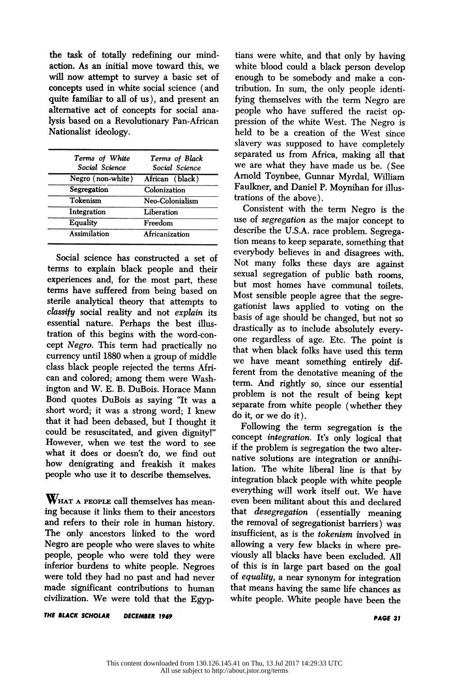the task of totally redefining our mind action. As an initial move toward this, we will now attempt to survey a basic set of concepts used in white social science (and quite familiar to all of us), and present an alternative act of concepts for social ana lysis based on a Revolutionary Pan- African Nationalist ideology.

| Terms of Black<br>Social Science |
|----------------------------------|
| African (black)                  |
| Colonization                     |
| Neo-Colonialism                  |
| Liberation                       |
| Freedom                          |
| Africanization                   |
|                                  |

 Social science has constructed a set of terms to explain black people and their experiences and, for the most part, these terms have suffered from being based on sterile analytical theory that attempts to classify social reality and not explain its essential nature. Perhaps the best illus tration of this begins with the word-con cept Negro. This term had practically no currency until 1880 when a group of middle class black people rejected the terms Afri can and colored; among them were Wash ington and W. E. B. DuBois. Horace Mann Bond quotes DuBois as saying "It was a short word; it was a strong word; I knew that it had been debased, but I thought it could be resuscitated, and given dignity!" However, when we test the word to see what it does or doesn't do, we find out how denigrating and freakish it makes people who use it to describe themselves.

WHAT A PEOPLE call themselves has mean ing because it links them to their ancestors and refers to their role in human history. The only ancestors linked to the word Negro are people who were slaves to white people, people who were told they were inferior burdens to white people. Negroes were told they had no past and had never made significant contributions to human civilization. We were told that the Egyp-

 tians were white, and that only by having white blood could a black person develop enough to be somebody and make a con tribution. In sum, the only people identi fying themselves with the term Negro are people who have suffered the racist op pression of the white West. The Negro is held to be a creation of the West since slavery was supposed to have completely separated us from Africa, making all that we are what they have made us be. (See Arnold Toynbee, Gunnar Myrdal, William Faulkner, and Daniel P. Moynihan for illus trations of the above).

 Consistent with the term Negro is the use of segregation as the major concept to describe the U.S.A. race problem. Segrega tion means to keep separate, something that everybody believes in and disagrees with. Not many folks these days are against sexual segregation of public bath rooms, but most homes have communal toilets. Most sensible people agree that the segre gationist laws applied to voting on the basis of age should be changed, but not so drastically as to include absolutely every one regardless of age. Etc. The point is that when black folks have used this term we have meant something entirely dif ferent from the denotative meaning of the term. And rightly so, since our essential problem is not the result of being kept separate from white people (whether they do it, or we do it).

 Following the term segregation is the concept integration. It's only logical that if the problem is segregation the two alter native solutions are integration or annihi lation. The white liberal line is that by integration black people with white people everything will work itself out. We have even been militant about this and declared that desegregation (essentially meaning the removal of segregationist barriers ) was insufficient, as is the tokenism involved in allowing a very few blacks in where pre viously all blacks have been excluded. All of this is in large part based on the goal of equality, a near synonym for integration that means having the same life chances as white people. White people have been the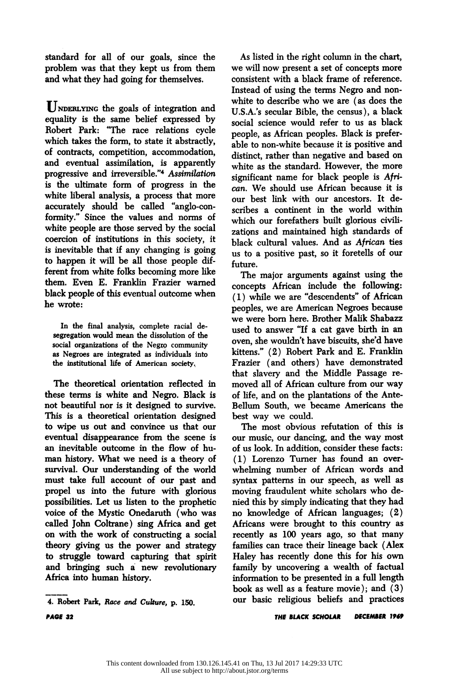standard for all of our goals, since the problem was that they kept us from them and what they had going for themselves.

UNDERLYING the goals of integration and equality is the same belief expressed by Robert Park: "The race relations cycle which takes the form, to state it abstractly, of contracts, competition, accommodation, and eventual assimilation, is apparently progressive and irreversible."4 Assimilation is the ultimate form of progress in the white liberal analysis, a process that more accurately should be called "anglo-con formity." Since the values and norms of white people are those served by the social coercion of institutions in this society, it is inevitable that if any changing is going to happen it will be all those people dif ferent from white folks becoming more like them. Even E. Franklin Frazier warned black people of this eventual outcome when he wrote:

 In the final analysis, complete racial de segregation would mean the dissolution of the social organizations of the Negro community as Negroes are integrated as individuals into the institutional life of American society.

 The theoretical orientation reflected in these terms is white and Negro. Black is not beautiful nor is it designed to survive. This is a theoretical orientation designed to wipe us out and convince us that our eventual disappearance from the scene is an inevitable outcome in the flow of hu man history. What we need is a theory of survival. Our understanding of the world must take full account of our past and propel us into the future with glorious possibilities. Let us listen to the prophetic voice of the Mystic Onedaruth (who was called John Coltrane) sing Africa and get on with the work of constructing a social theory giving us the power and strategy to struggle toward capturing that spirit and bringing such a new revolutionary Africa into human history.

 As listed in the right column in the chart, we will now present a set of concepts more consistent with a black frame of reference. Instead of using the terms Negro and non white to describe who we are ( as does the U.S.A.'s secular Bible, the census), a black social science would refer to us as black people, as African peoples. Black is prefer able to non-white because it is positive and distinct, rather than negative and based on white as the standard. However, the more significant name for black people is Afri can. We should use African because it is our best link with our ancestors. It de scribes a continent in the world within which our forefathers built glorious civili zations and maintained high standards of black cultural values. And as African ties us to a positive past, so it foretells of our future.

 The major arguments against using the concepts African include the following: (1) while we are "descendents" of African peoples, we are American Negroes because we were born here. Brother Malik Shabazz used to answer "If a cat gave birth in an oven, she wouldn't have biscuits, she'd have kittens." (2) Robert Park and E. Franklin Frazier (and others) have demonstrated that slavery and the Middle Passage re moved all of African culture from our way of life, and on the plantations of the Ante- Bellum South, we became Americans the best way we could.

 The most obvious refutation of this is our music, our dancing, and the way most of us look. In addition, consider these facts: (1) Lorenzo Turner has found an over whelming number of African words and syntax patterns in our speech, as well as moving fraudulent white scholars who de nied this by simply indicating that they had no knowledge of African languages; (2) Africans were brought to this country as recently as 100 years ago, so that many families can trace their lineage back (Alex Haley has recently done this for his own family by uncovering a wealth of factual information to be presented in a full length book as well as a feature movie); and (3) our basic religious beliefs and practices

 <sup>4.</sup> Robert Park, Race and Culture, p. 150.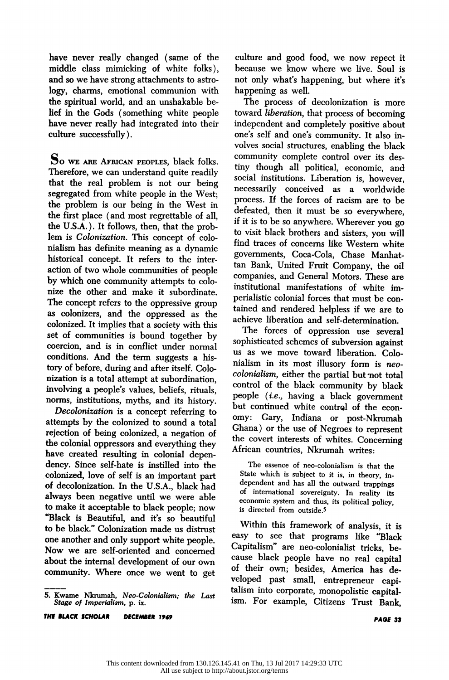have never really changed (same of the middle class mimicking of white folks), and so we have strong attachments to astro logy, charms, emotional communion with the spiritual world, and an unshakable be lief in the Gods (something white people have never really had integrated into their culture successfully).

So WE ARE AFRICAN PEOPLES, black folks. Therefore, we can understand quite readily that the real problem is not our being segregated from white people in the West; the problem is our being in the West in the first place (and most regrettable of all, the U.S.A.). It follows, then, that the prob lem is Colonization. This concept of colo nialism has definite meaning as a dynamic historical concept. It refers to the inter action of two whole communities of people by which one community attempts to colo nize the other and make it subordinate. The concept refers to the oppressive group as colonizers, and the oppressed as the colonized. It implies that a society with this set of communities is bound together by coercion, and is in conflict under normal conditions. And the term suggests a his tory of before, during and after itself. Colo nization is a total attempt at subordination, involving a people's values, beliefs, rituals, norms, institutions, myths, and its history.

 Decolonization is a concept referring to attempts by the colonized to sound a total rejection of being colonized, a negation of the colonial oppressors and everything they have created resulting in colonial depen dency. Since self-hate is instilled into the colonized, love of self is an important part of decolonization. In the U.S.A., black had always been negative until we were able to make it acceptable to black people; now "Black is Beautiful, and it's so beautiful to be black." Colonization made us distrust one another and only support white people. Now we are self-oriented and concerned about the internal development of our own community. Where once we went to get

 culture and good food, we now repect it because we know where we live. Soul is not only what's happening, but where it's happening as well.

 The process of decolonization is more toward liberation, that process of becoming independent and completely positive about one's self and one's community. It also in volves social structures, enabling the black community complete control over its des tiny though all political, economic, and social institutions. Liberation is, however, necessarily conceived as a worldwide process. If the forces of racism are to be defeated, then it must be so everywhere, if it is to be so anywhere. Wherever you go to visit black brothers and sisters, you will find traces of concerns like Western white governments, Coca-Cola, Chase Manhat tan Bank, United Fruit Company, the oil companies, and General Motors. These are institutional manifestations of white im perialistic colonial forces that must be con tained and rendered helpless if we are to achieve liberation and self-determination.

 The forces of oppression use several sophisticated schemes of subversion against us as we move toward liberation. Colo nialism in its most illusory form is neo colonialism, either the partial but not total control of the black community by black people (i.e., having a black government but continued white control of the econ omy: Gary, Indiana or post-Nkrumah Ghana) or the use of Negroes to represent the covert interests of whites. Concerning African countries, Nkrumah writes:

 The essence of neo-colonialism is that the State which is subject to it is, in theory, in dependent and has all the outward trappings of international sovereignty. In reality its economic system and thus, its political policy, is directed from outside.<sup>5</sup>

 Within this framework of analysis, it is easy to see that programs like "Black Capitalism" are neo-colonialist tricks, be cause black people have no real capital of their own; besides, America has de veloped past small, entrepreneur capi talism into corporate, monopolistic capital ism. For example, Citizens Trust Bank,

 <sup>5.</sup> Kwame Nkrumah, Neo-Colonialism; the Last Stage of Imperialism, p. ix.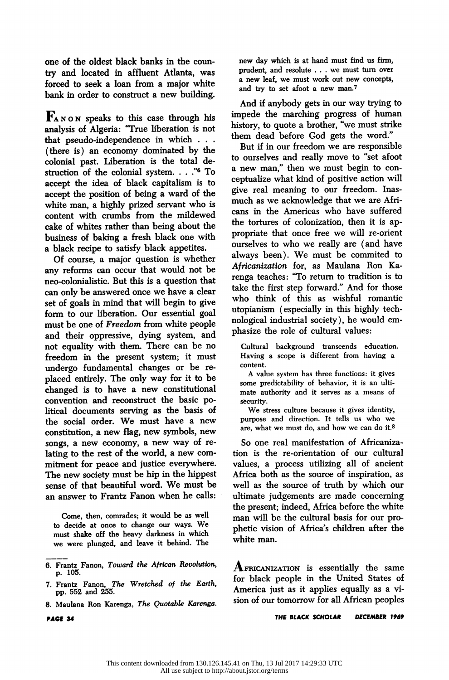one of the oldest black banks in the coun try and located in affluent Atlanta, was forced to seek a loan from a major white bank in order to construct a new building.

 $\mathbf{F}_{\mathbf{A}}$ <sub>N</sub>O<sub>N</sub> speaks to this case through his analysis of Algeria: "True liberation is not that pseudo-independence in which . . . (there is) an economy dominated by the colonial past. Liberation is the total de struction of the colonial system. . . ."6 To accept the idea of black capitalism is to accept the position of being a ward of the white man, a highly prized servant who is content with crumbs from the mildewed cake of whites rather than being about the business of baking a fresh black one with a black recipe to satisfy black appetites.

 Of course, a major question is whether any reforms can occur that would not be neo-colonialistic. But this is a question that can only be answered once we have a clear set of goals in mind that will begin to give form to our liberation. Our essential goal must be one of Freedom from white people and their oppressive, dying system, and not equality with them. There can be no freedom in the present system; it must undergo fundamental changes or be re placed entirely. The only way for it to be changed is to have a new constitutional convention and reconstruct the basic po litical documents serving as the basis of the social order. We must have a new constitution, a new flag, new symbols, new songs, a new economy, a new way of re lating to the rest of the world, a new com mitment for peace and justice everywhere. The new society must be hip in the hippest sense of that beautiful word. We must be an answer to Frantz Fanon when he calls:

 Come, then, comrades; it would be as well to decide at once to change our ways. We must shake off the heavy darkness in which we were plunged, and leave it behind. The  new day which is at hand must find us firm, prudent, and resolute ... we must turn over a new leaf, we must work out new concepts, and try to set afoot a new man.7

 And if anybody gets in our way trying to impede the marching progress of human history, to quote a brother, "we must strike them dead before God gets the word."

 But if in our freedom we are responsible to ourselves and really move to "set afoot a new man," then we must begin to con ceptualize what kind of positive action will give real meaning to our freedom. Inas much as we acknowledge that we are Afri cans in the Americas who have suffered the tortures of colonization, then it is ap propriate that once free we will re-orient ourselves to who we really are (and have always been). We must be commited to Africanization for, as Maulana Ron Ka renga teaches: "To return to tradition is to take the first step forward." And for those who think of this as wishful romantic utopianism (especially in this highly tech nological industrial society), he would em phasize the role of cultural values:

 Cultural background transcends education. Having a scope is different from having a content.

 A value system has three functions: it gives some predictability of behavior, it is an ulti mate authority and it serves as a means of security.

 We stress culture because it gives identity, purpose and direction. It tells us who we are, what we must do, and how we can do it.8

 So one real manifestation of Africaniza tion is the re-orientation of our cultural values, a process utilizing all of ancient Africa both as the source of inspiration, as well as the source of truth by which our ultimate judgements are made concerning the present; indeed, Africa before the white man will be the cultural basis for our pro phetic vision of Africa's children after the white man.

**AFRICANIZATION** is essentially the same for black people in the United States of America just as it applies equally as a vi sion of our tomorrow for all African peoples

 <sup>6.</sup> Frantz Fanon, Toward the African Revolution, p. 105.

 <sup>7.</sup> Frantz Fanon, The Wretched of the Earth, pp. 552 and 255.

 <sup>8.</sup> Maulana Ron Karenga, The Quotable Karenga.